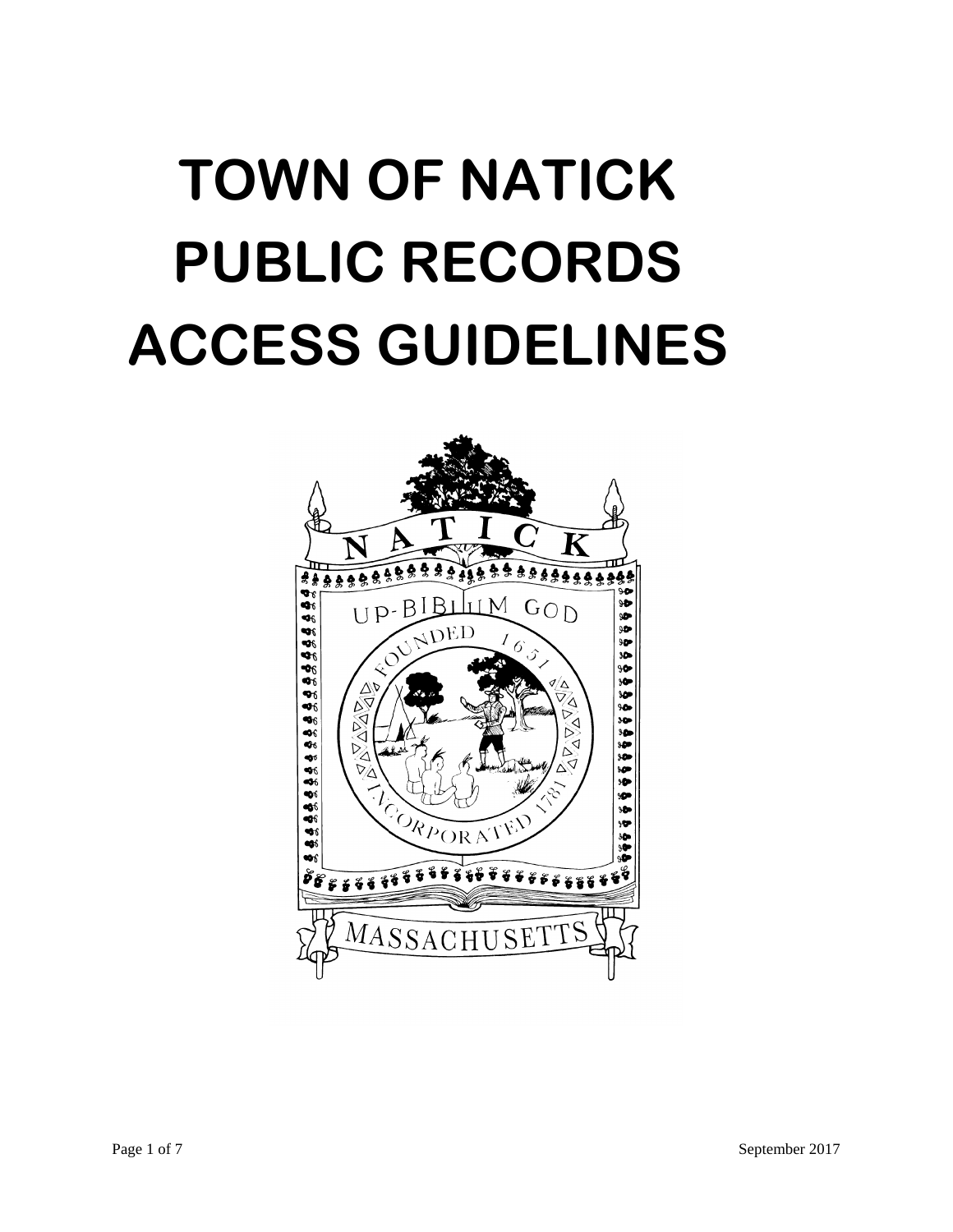# **TOWN OF NATICK PUBLIC RECORDS ACCESS GUIDELINES**

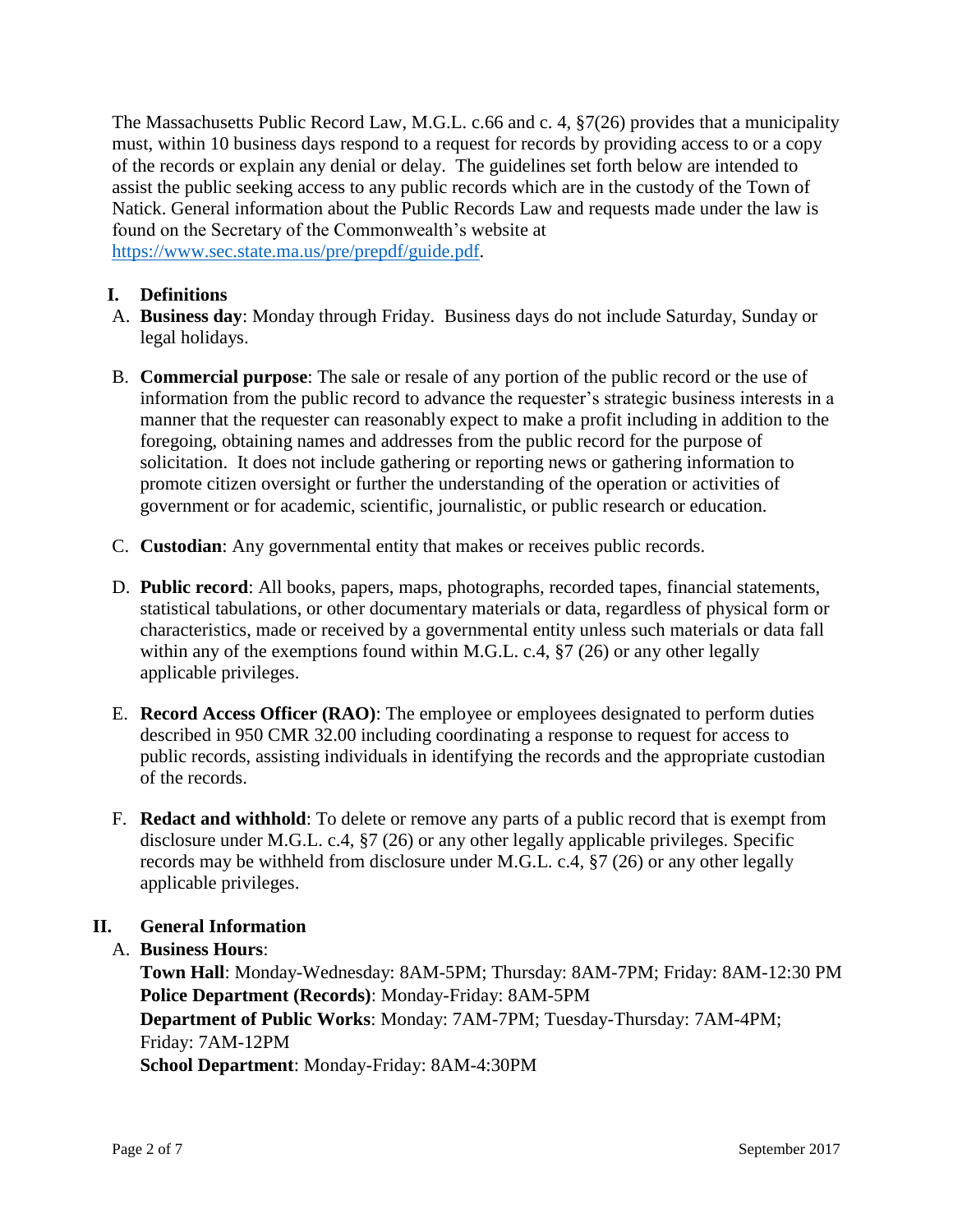The Massachusetts Public Record Law, M.G.L. c.66 and c. 4, §7(26) provides that a municipality must, within 10 business days respond to a request for records by providing access to or a copy of the records or explain any denial or delay. The guidelines set forth below are intended to assist the public seeking access to any public records which are in the custody of the Town of Natick. General information about the Public Records Law and requests made under the law is found on the Secretary of the Commonwealth's website at [https://www.sec.state.ma.us/pre/prepdf/guide.pdf.](https://www.sec.state.ma.us/pre/prepdf/guide.pdf)

## **I. Definitions**

- A. **Business day**: Monday through Friday. Business days do not include Saturday, Sunday or legal holidays.
- B. **Commercial purpose**: The sale or resale of any portion of the public record or the use of information from the public record to advance the requester's strategic business interests in a manner that the requester can reasonably expect to make a profit including in addition to the foregoing, obtaining names and addresses from the public record for the purpose of solicitation. It does not include gathering or reporting news or gathering information to promote citizen oversight or further the understanding of the operation or activities of government or for academic, scientific, journalistic, or public research or education.
- C. **Custodian**: Any governmental entity that makes or receives public records.
- D. **Public record**: All books, papers, maps, photographs, recorded tapes, financial statements, statistical tabulations, or other documentary materials or data, regardless of physical form or characteristics, made or received by a governmental entity unless such materials or data fall within any of the exemptions found within M.G.L. c.4, §7 (26) or any other legally applicable privileges.
- E. **Record Access Officer (RAO)**: The employee or employees designated to perform duties described in 950 CMR 32.00 including coordinating a response to request for access to public records, assisting individuals in identifying the records and the appropriate custodian of the records.
- F. **Redact and withhold**: To delete or remove any parts of a public record that is exempt from disclosure under M.G.L. c.4, §7 (26) or any other legally applicable privileges. Specific records may be withheld from disclosure under M.G.L. c.4, §7 (26) or any other legally applicable privileges.

#### **II. General Information**

#### A. **Business Hours**:

**Town Hall**: Monday-Wednesday: 8AM-5PM; Thursday: 8AM-7PM; Friday: 8AM-12:30 PM **Police Department (Records)**: Monday-Friday: 8AM-5PM **Department of Public Works**: Monday: 7AM-7PM; Tuesday-Thursday: 7AM-4PM; Friday: 7AM-12PM **School Department**: Monday-Friday: 8AM-4:30PM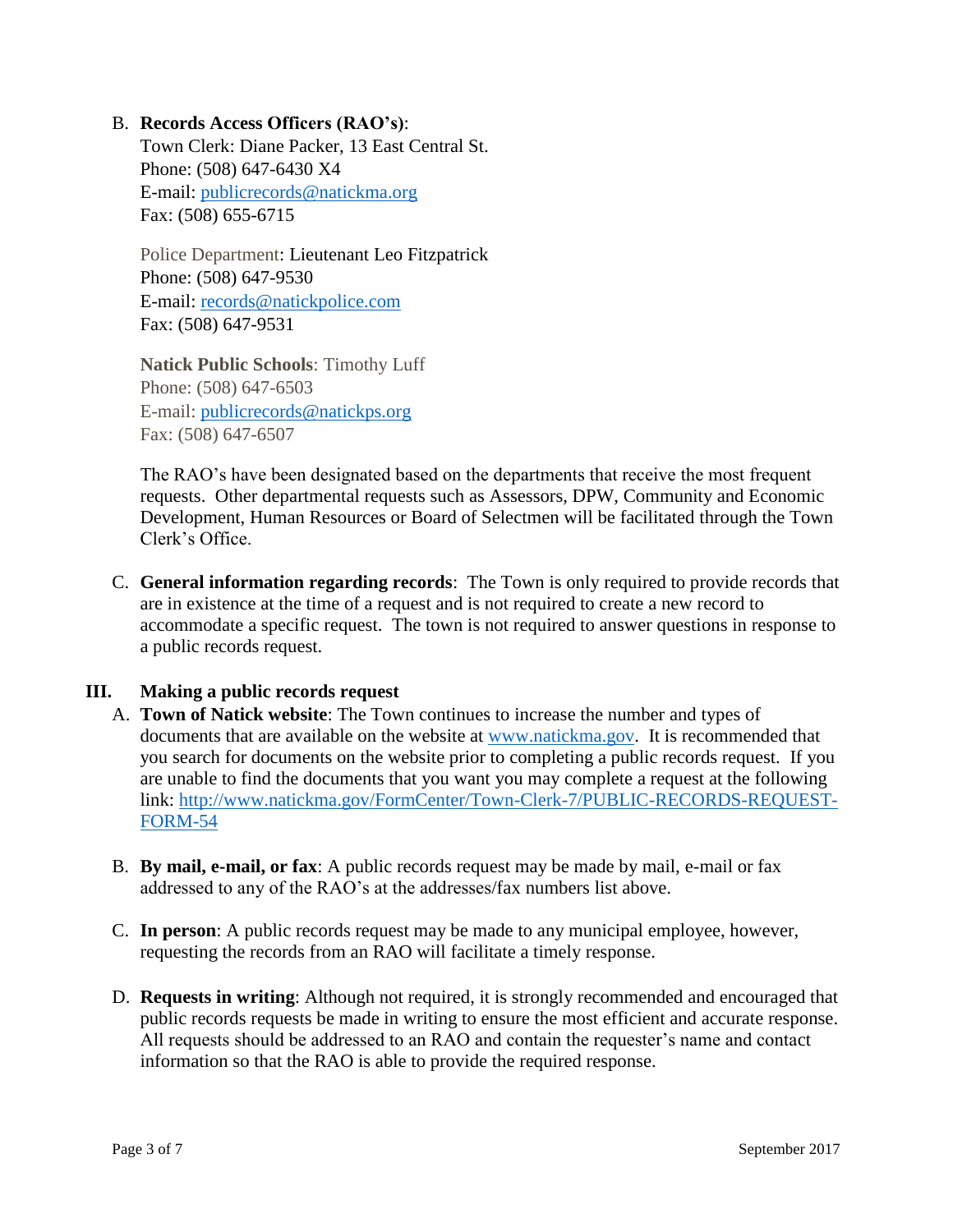#### B. **Records Access Officers (RAO's)**:

Town Clerk: Diane Packer, 13 East Central St. Phone: (508) 647-6430 X4 E-mail: [publicrecords@natickma.org](mailto:publicrecords@natickma.org) Fax: (508) 655-6715

Police Department: Lieutenant Leo Fitzpatrick Phone: (508) 647-9530 E-mail: [records@natickpolice.com](mailto:records@natickpolice.com) Fax: (508) 647-9531

**Natick Public Schools**: Timothy Luff Phone: (508) 647-6503 E-mail: [publicrecords@natickps.org](mailto:publicrecords@natickps.org) Fax: (508) 647-6507

The RAO's have been designated based on the departments that receive the most frequent requests. Other departmental requests such as Assessors, DPW, Community and Economic Development, Human Resources or Board of Selectmen will be facilitated through the Town Clerk's Office.

C. **General information regarding records**: The Town is only required to provide records that are in existence at the time of a request and is not required to create a new record to accommodate a specific request. The town is not required to answer questions in response to a public records request.

## **III. Making a public records request**

- A. **Town of Natick website**: The Town continues to increase the number and types of documents that are available on the website at [www.natickma.gov.](http://www.natickma.gov/) It is recommended that you search for documents on the website prior to completing a public records request. If you are unable to find the documents that you want you may complete a request at the following link: [http://www.natickma.gov/FormCenter/Town-Clerk-7/PUBLIC-RECORDS-REQUEST-](http://www.natickma.gov/FormCenter/Town-Clerk-7/PUBLIC-RECORDS-REQUEST-FORM-54)[FORM-54](http://www.natickma.gov/FormCenter/Town-Clerk-7/PUBLIC-RECORDS-REQUEST-FORM-54)
- B. **By mail, e-mail, or fax**: A public records request may be made by mail, e-mail or fax addressed to any of the RAO's at the addresses/fax numbers list above.
- C. **In person**: A public records request may be made to any municipal employee, however, requesting the records from an RAO will facilitate a timely response.
- D. **Requests in writing**: Although not required, it is strongly recommended and encouraged that public records requests be made in writing to ensure the most efficient and accurate response. All requests should be addressed to an RAO and contain the requester's name and contact information so that the RAO is able to provide the required response.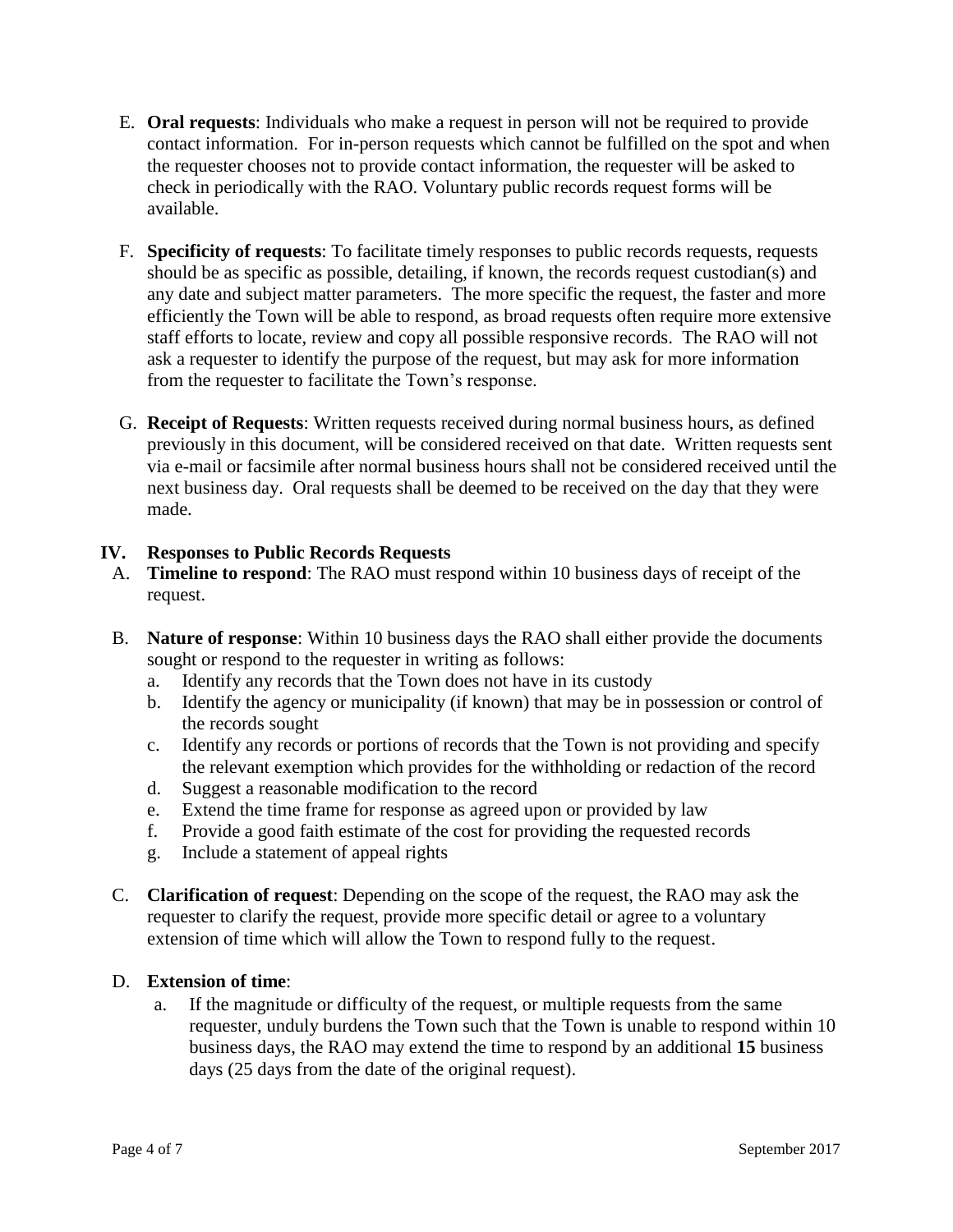- E. **Oral requests**: Individuals who make a request in person will not be required to provide contact information. For in-person requests which cannot be fulfilled on the spot and when the requester chooses not to provide contact information, the requester will be asked to check in periodically with the RAO. Voluntary public records request forms will be available.
- F. **Specificity of requests**: To facilitate timely responses to public records requests, requests should be as specific as possible, detailing, if known, the records request custodian(s) and any date and subject matter parameters. The more specific the request, the faster and more efficiently the Town will be able to respond, as broad requests often require more extensive staff efforts to locate, review and copy all possible responsive records. The RAO will not ask a requester to identify the purpose of the request, but may ask for more information from the requester to facilitate the Town's response.
- G. **Receipt of Requests**: Written requests received during normal business hours, as defined previously in this document, will be considered received on that date. Written requests sent via e-mail or facsimile after normal business hours shall not be considered received until the next business day. Oral requests shall be deemed to be received on the day that they were made.

## **IV. Responses to Public Records Requests**

- A. **Timeline to respond**: The RAO must respond within 10 business days of receipt of the request.
- B. **Nature of response**: Within 10 business days the RAO shall either provide the documents sought or respond to the requester in writing as follows:
	- a. Identify any records that the Town does not have in its custody
	- b. Identify the agency or municipality (if known) that may be in possession or control of the records sought
	- c. Identify any records or portions of records that the Town is not providing and specify the relevant exemption which provides for the withholding or redaction of the record
	- d. Suggest a reasonable modification to the record
	- e. Extend the time frame for response as agreed upon or provided by law
	- f. Provide a good faith estimate of the cost for providing the requested records
	- g. Include a statement of appeal rights
- C. **Clarification of request**: Depending on the scope of the request, the RAO may ask the requester to clarify the request, provide more specific detail or agree to a voluntary extension of time which will allow the Town to respond fully to the request.

#### D. **Extension of time**:

a. If the magnitude or difficulty of the request, or multiple requests from the same requester, unduly burdens the Town such that the Town is unable to respond within 10 business days, the RAO may extend the time to respond by an additional **15** business days (25 days from the date of the original request).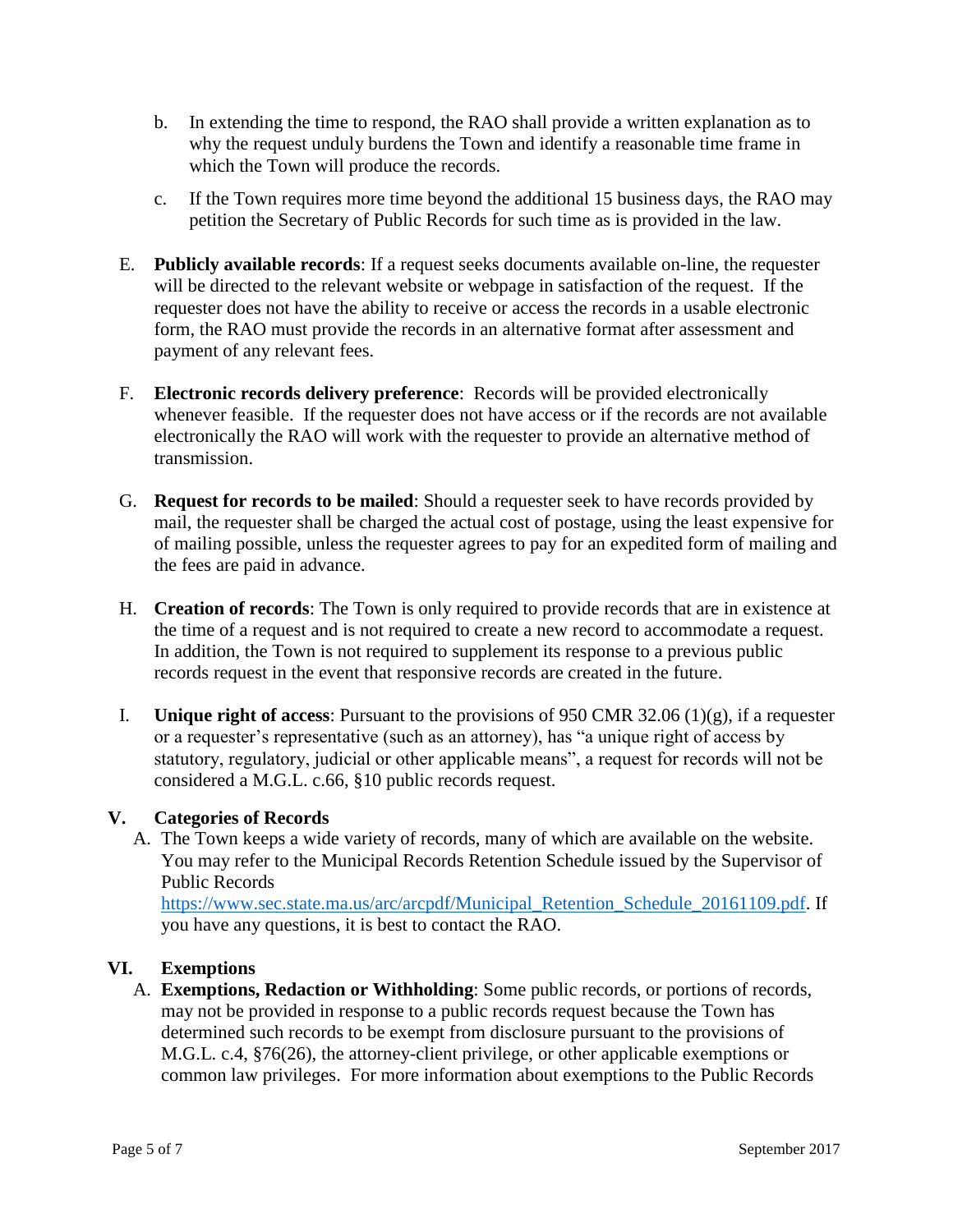- b. In extending the time to respond, the RAO shall provide a written explanation as to why the request unduly burdens the Town and identify a reasonable time frame in which the Town will produce the records.
- c. If the Town requires more time beyond the additional 15 business days, the RAO may petition the Secretary of Public Records for such time as is provided in the law.
- E. **Publicly available records**: If a request seeks documents available on-line, the requester will be directed to the relevant website or webpage in satisfaction of the request. If the requester does not have the ability to receive or access the records in a usable electronic form, the RAO must provide the records in an alternative format after assessment and payment of any relevant fees.
- F. **Electronic records delivery preference**: Records will be provided electronically whenever feasible. If the requester does not have access or if the records are not available electronically the RAO will work with the requester to provide an alternative method of transmission.
- G. **Request for records to be mailed**: Should a requester seek to have records provided by mail, the requester shall be charged the actual cost of postage, using the least expensive for of mailing possible, unless the requester agrees to pay for an expedited form of mailing and the fees are paid in advance.
- H. **Creation of records**: The Town is only required to provide records that are in existence at the time of a request and is not required to create a new record to accommodate a request. In addition, the Town is not required to supplement its response to a previous public records request in the event that responsive records are created in the future.
- I. **Unique right of access**: Pursuant to the provisions of 950 CMR 32.06 (1)(g), if a requester or a requester's representative (such as an attorney), has "a unique right of access by statutory, regulatory, judicial or other applicable means", a request for records will not be considered a M.G.L. c.66, §10 public records request.

## **V. Categories of Records**

A. The Town keeps a wide variety of records, many of which are available on the website. You may refer to the Municipal Records Retention Schedule issued by the Supervisor of Public Records

[https://www.sec.state.ma.us/arc/arcpdf/Municipal\\_Retention\\_Schedule\\_20161109.pdf.](https://www.sec.state.ma.us/arc/arcpdf/Municipal_Retention_Schedule_20161109.pdf) If you have any questions, it is best to contact the RAO.

## **VI. Exemptions**

A. **Exemptions, Redaction or Withholding**: Some public records, or portions of records, may not be provided in response to a public records request because the Town has determined such records to be exempt from disclosure pursuant to the provisions of M.G.L. c.4, §76(26), the attorney-client privilege, or other applicable exemptions or common law privileges. For more information about exemptions to the Public Records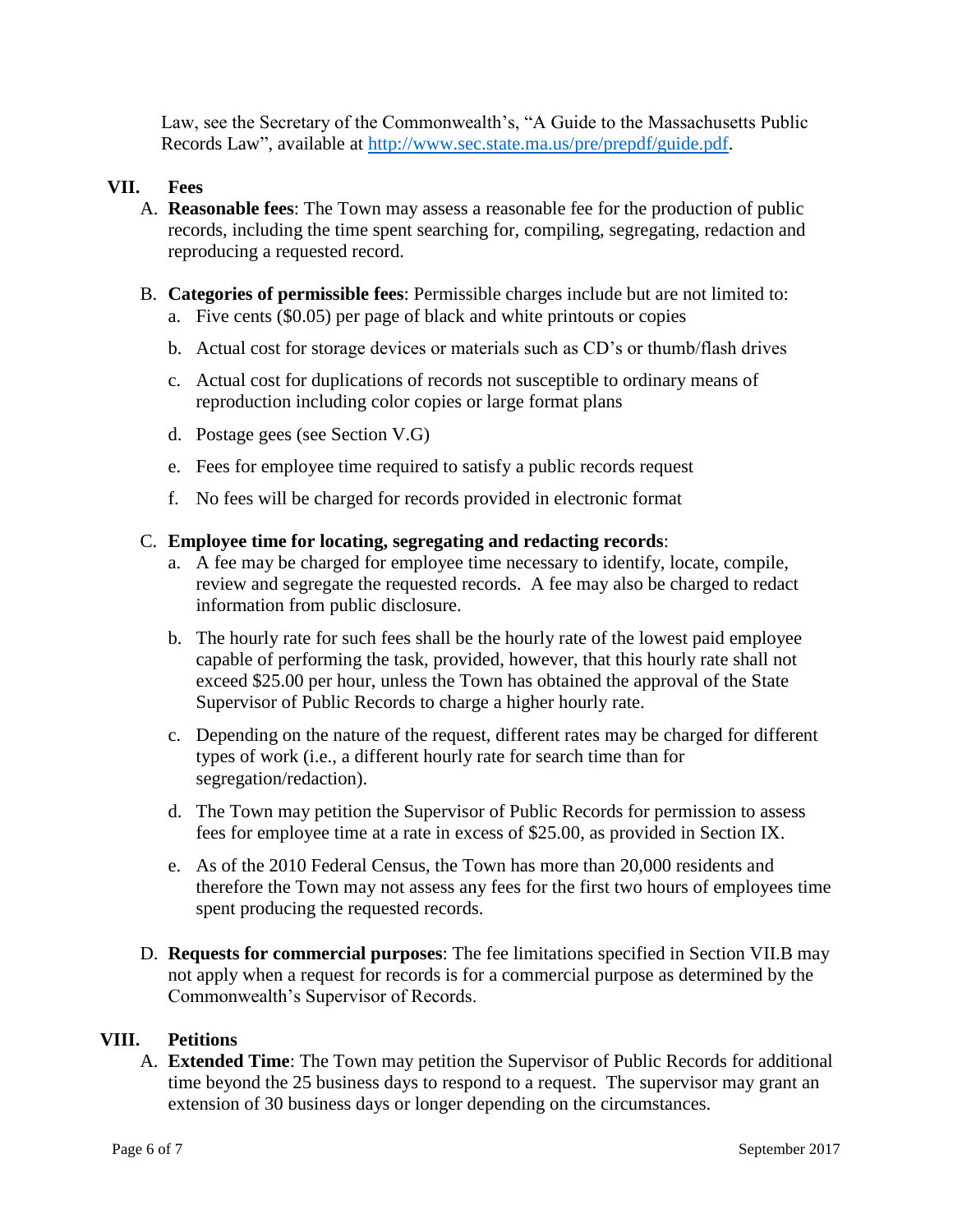Law, see the Secretary of the Commonwealth's, "A Guide to the Massachusetts Public Records Law", available at [http://www.sec.state.ma.us/pre/prepdf/guide.pdf.](http://www.sec.state.ma.us/pre/prepdf/guide.pdf)

## **VII. Fees**

- A. **Reasonable fees**: The Town may assess a reasonable fee for the production of public records, including the time spent searching for, compiling, segregating, redaction and reproducing a requested record.
- B. **Categories of permissible fees**: Permissible charges include but are not limited to:
	- a. Five cents (\$0.05) per page of black and white printouts or copies
	- b. Actual cost for storage devices or materials such as CD's or thumb/flash drives
	- c. Actual cost for duplications of records not susceptible to ordinary means of reproduction including color copies or large format plans
	- d. Postage gees (see Section V.G)
	- e. Fees for employee time required to satisfy a public records request
	- f. No fees will be charged for records provided in electronic format

#### C. **Employee time for locating, segregating and redacting records**:

- a. A fee may be charged for employee time necessary to identify, locate, compile, review and segregate the requested records. A fee may also be charged to redact information from public disclosure.
- b. The hourly rate for such fees shall be the hourly rate of the lowest paid employee capable of performing the task, provided, however, that this hourly rate shall not exceed \$25.00 per hour, unless the Town has obtained the approval of the State Supervisor of Public Records to charge a higher hourly rate.
- c. Depending on the nature of the request, different rates may be charged for different types of work (i.e., a different hourly rate for search time than for segregation/redaction).
- d. The Town may petition the Supervisor of Public Records for permission to assess fees for employee time at a rate in excess of \$25.00, as provided in Section IX.
- e. As of the 2010 Federal Census, the Town has more than 20,000 residents and therefore the Town may not assess any fees for the first two hours of employees time spent producing the requested records.
- D. **Requests for commercial purposes**: The fee limitations specified in Section VII.B may not apply when a request for records is for a commercial purpose as determined by the Commonwealth's Supervisor of Records.

#### **VIII. Petitions**

A. **Extended Time**: The Town may petition the Supervisor of Public Records for additional time beyond the 25 business days to respond to a request. The supervisor may grant an extension of 30 business days or longer depending on the circumstances.